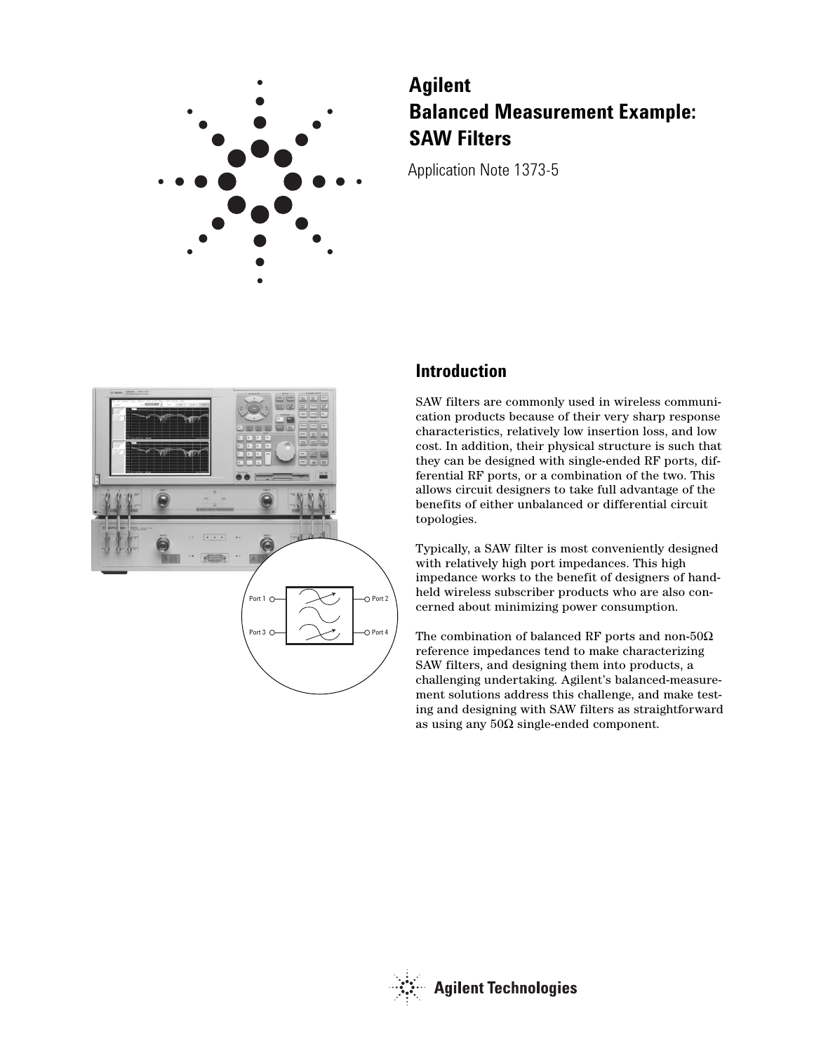

# **Agilent Balanced Measurement Example: SAW Filters**

Application Note 1373-5



### **Introduction**

SAW filters are commonly used in wireless communication products because of their very sharp response characteristics, relatively low insertion loss, and low cost. In addition, their physical structure is such that they can be designed with single-ended RF ports, differential RF ports, or a combination of the two. This allows circuit designers to take full advantage of the benefits of either unbalanced or differential circuit topologies.

Typically, a SAW filter is most conveniently designed with relatively high port impedances. This high impedance works to the benefit of designers of handheld wireless subscriber products who are also concerned about minimizing power consumption.

The combination of balanced RF ports and non-50Ω reference impedances tend to make characterizing SAW filters, and designing them into products, a challenging undertaking. Agilent's balanced-measurement solutions address this challenge, and make testing and designing with SAW filters as straightforward as using any 50Ω single-ended component.

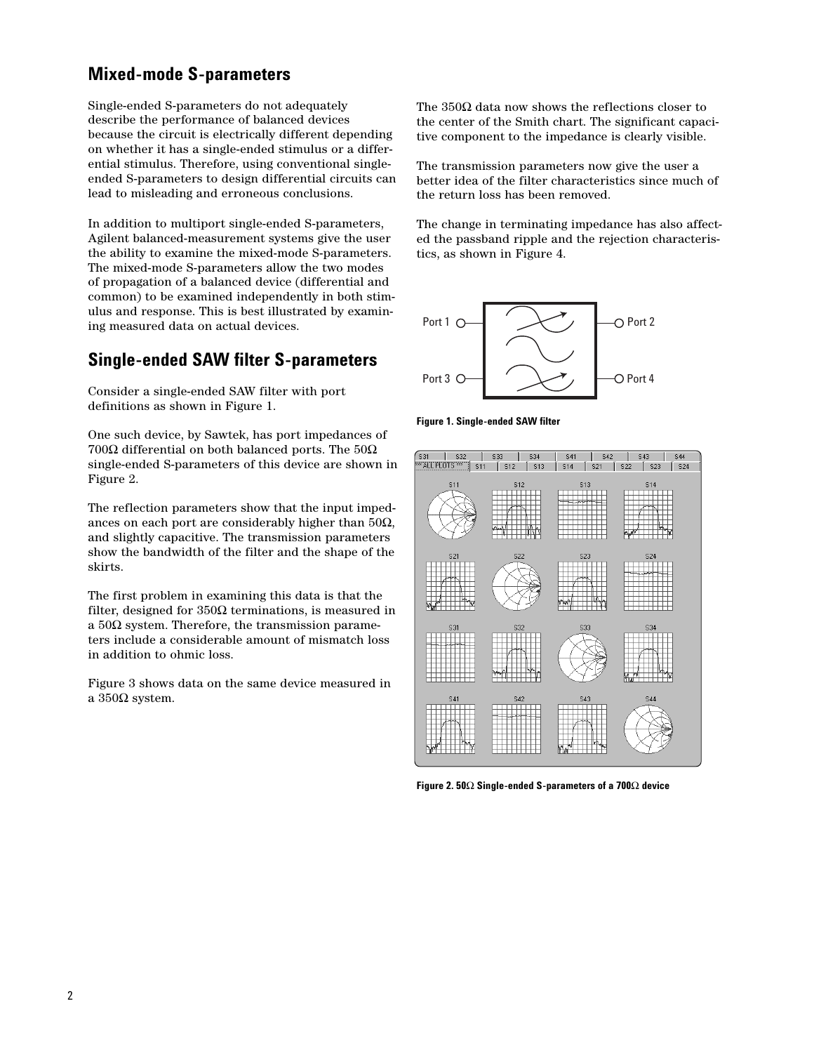## **Mixed-mode S-parameters**

Single-ended S-parameters do not adequately describe the performance of balanced devices because the circuit is electrically different depending on whether it has a single-ended stimulus or a differential stimulus. Therefore, using conventional singleended S-parameters to design differential circuits can lead to misleading and erroneous conclusions.

In addition to multiport single-ended S-parameters, Agilent balanced-measurement systems give the user the ability to examine the mixed-mode S-parameters. The mixed-mode S-parameters allow the two modes of propagation of a balanced device (differential and common) to be examined independently in both stimulus and response. This is best illustrated by examining measured data on actual devices.

### **Single-ended SAW filter S-parameters**

Consider a single-ended SAW filter with port definitions as shown in Figure 1.

One such device, by Sawtek, has port impedances of 700Ω differential on both balanced ports. The  $50\Omega$ single-ended S-parameters of this device are shown in Figure 2.

The reflection parameters show that the input impedances on each port are considerably higher than  $50\Omega$ , and slightly capacitive. The transmission parameters show the bandwidth of the filter and the shape of the skirts.

The first problem in examining this data is that the filter, designed for  $350\Omega$  terminations, is measured in a  $50\Omega$  system. Therefore, the transmission parameters include a considerable amount of mismatch loss in addition to ohmic loss.

Figure 3 shows data on the same device measured in a 350Ω system.

The  $350\Omega$  data now shows the reflections closer to the center of the Smith chart. The significant capacitive component to the impedance is clearly visible.

The transmission parameters now give the user a better idea of the filter characteristics since much of the return loss has been removed.

The change in terminating impedance has also affected the passband ripple and the rejection characteristics, as shown in Figure 4.



**Figure 1. Single-ended SAW filter**



**Figure 2. 50**Ω **Single-ended S-parameters of a 700**Ω **device**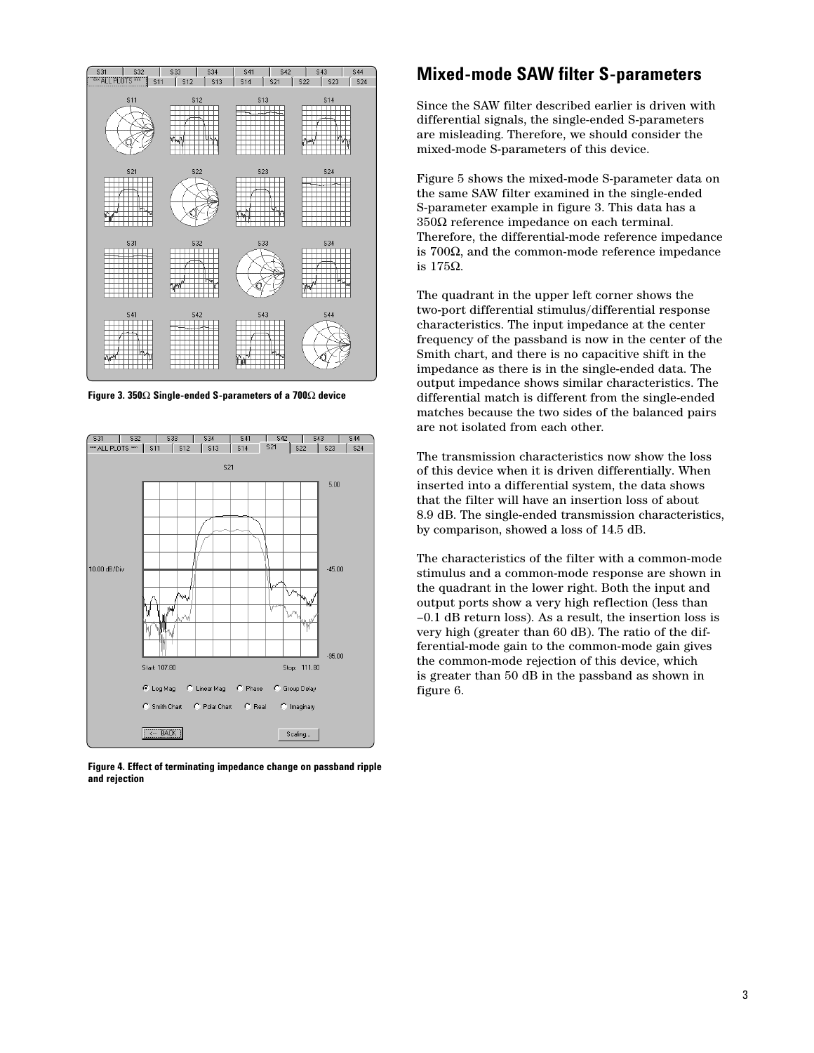

**Figure 3. 350**Ω **Single-ended S-parameters of a 700**Ω **device**



**Figure 4. Effect of terminating impedance change on passband ripple and rejection**

#### **Mixed-mode SAW filter S-parameters**

Since the SAW filter described earlier is driven with differential signals, the single-ended S-parameters are misleading. Therefore, we should consider the mixed-mode S-parameters of this device.

Figure 5 shows the mixed-mode S-parameter data on the same SAW filter examined in the single-ended S-parameter example in figure 3. This data has a 350Ω reference impedance on each terminal. Therefore, the differential-mode reference impedance is 700Ω, and the common-mode reference impedance is 175Ω.

The quadrant in the upper left corner shows the two-port differential stimulus/differential response characteristics. The input impedance at the center frequency of the passband is now in the center of the Smith chart, and there is no capacitive shift in the impedance as there is in the single-ended data. The output impedance shows similar characteristics. The differential match is different from the single-ended matches because the two sides of the balanced pairs are not isolated from each other.

The transmission characteristics now show the loss of this device when it is driven differentially. When inserted into a differential system, the data shows that the filter will have an insertion loss of about 8.9 dB. The single-ended transmission characteristics, by comparison, showed a loss of 14.5 dB.

The characteristics of the filter with a common-mode stimulus and a common-mode response are shown in the quadrant in the lower right. Both the input and output ports show a very high reflection (less than –0.1 dB return loss). As a result, the insertion loss is very high (greater than 60 dB). The ratio of the differential-mode gain to the common-mode gain gives the common-mode rejection of this device, which is greater than 50 dB in the passband as shown in figure 6.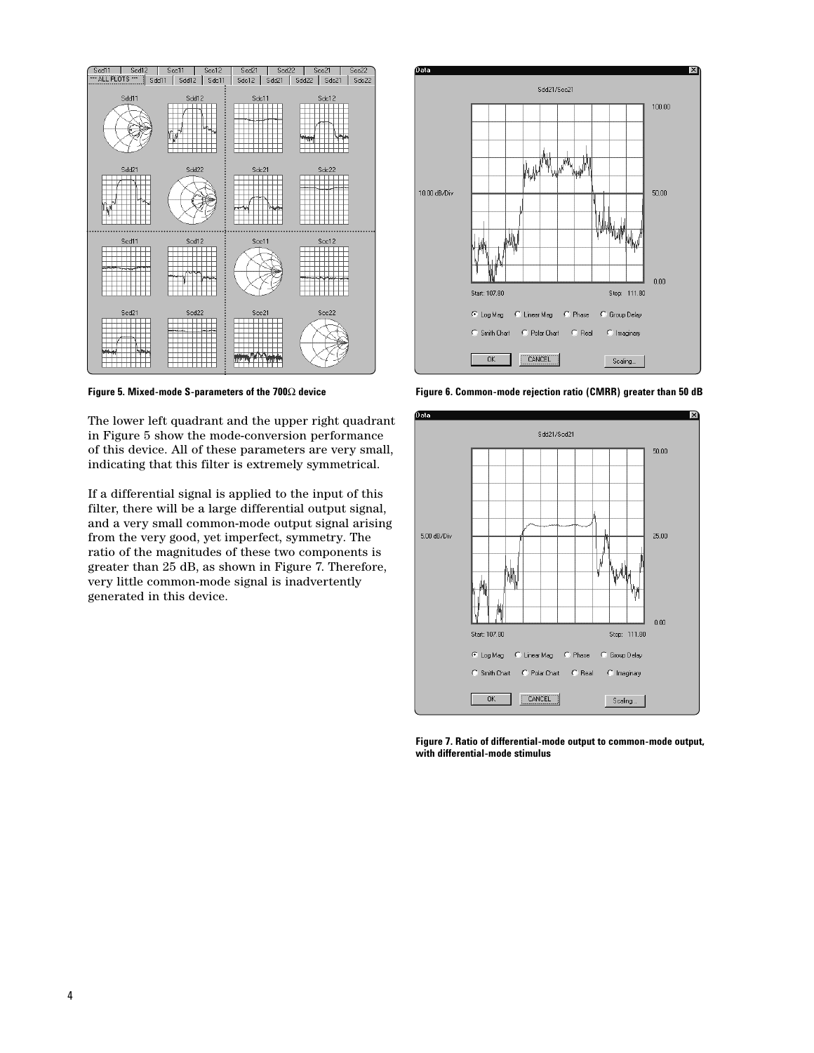

**Figure 5. Mixed-mode S-parameters of the 700**Ω **device**

The lower left quadrant and the upper right quadrant in Figure 5 show the mode-conversion performance of this device. All of these parameters are very small, indicating that this filter is extremely symmetrical.

If a differential signal is applied to the input of this filter, there will be a large differential output signal, and a very small common-mode output signal arising from the very good, yet imperfect, symmetry. The ratio of the magnitudes of these two components is greater than 25 dB, as shown in Figure 7. Therefore, very little common-mode signal is inadvertently generated in this device.



**Figure 6. Common-mode rejection ratio (CMRR) greater than 50 dB**



**Figure 7. Ratio of differential-mode output to common-mode output, with differential-mode stimulus**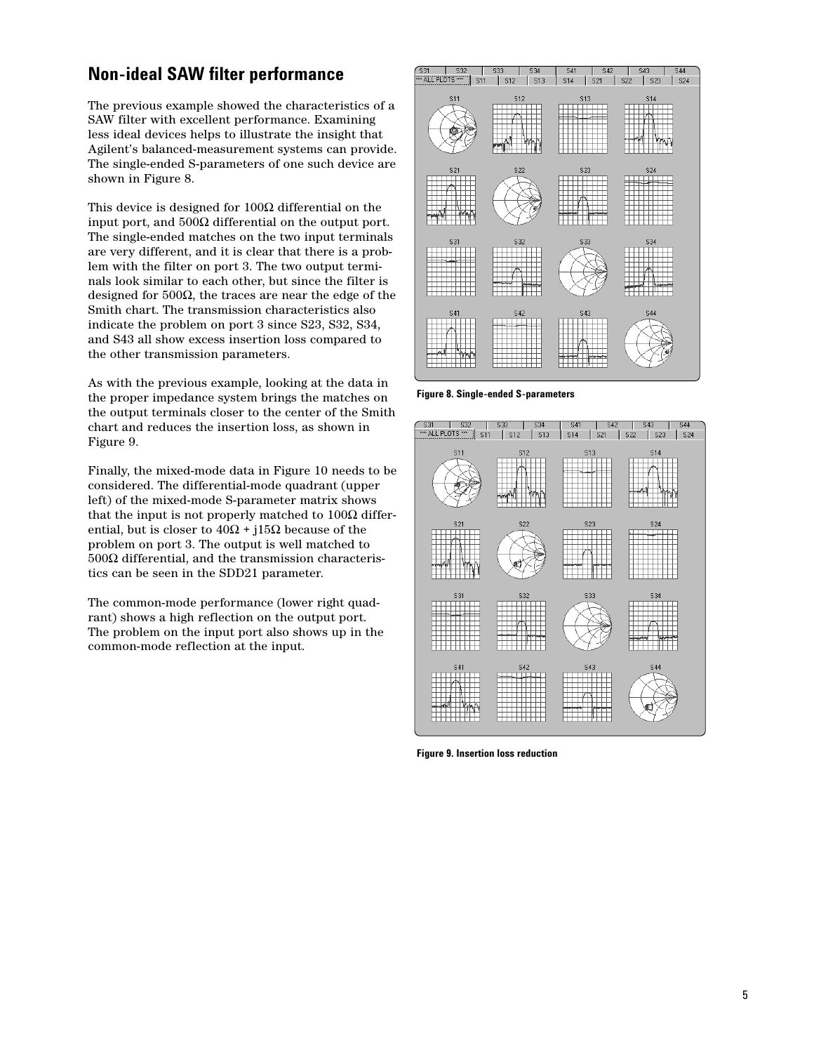### **Non-ideal SAW filter performance**

The previous example showed the characteristics of a SAW filter with excellent performance. Examining less ideal devices helps to illustrate the insight that Agilent's balanced-measurement systems can provide. The single-ended S-parameters of one such device are shown in Figure 8.

This device is designed for  $100\Omega$  differential on the input port, and 500Ω differential on the output port. The single-ended matches on the two input terminals are very different, and it is clear that there is a problem with the filter on port 3. The two output terminals look similar to each other, but since the filter is designed for 500Ω, the traces are near the edge of the Smith chart. The transmission characteristics also indicate the problem on port 3 since S23, S32, S34, and S43 all show excess insertion loss compared to the other transmission parameters.

As with the previous example, looking at the data in the proper impedance system brings the matches on the output terminals closer to the center of the Smith chart and reduces the insertion loss, as shown in Figure 9.

Finally, the mixed-mode data in Figure 10 needs to be considered. The differential-mode quadrant (upper left) of the mixed-mode S-parameter matrix shows that the input is not properly matched to  $100Ω$  differential, but is closer to  $40Ω + j15Ω$  because of the problem on port 3. The output is well matched to 500Ω differential, and the transmission characteristics can be seen in the SDD21 parameter.

The common-mode performance (lower right quadrant) shows a high reflection on the output port. The problem on the input port also shows up in the common-mode reflection at the input.



**Figure 8. Single-ended S-parameters**

| S31<br><b>S32</b><br><b>XXX ALL PLOTS XXX</b> | <b>S33</b><br>S34        | <b>S41</b><br><b>S42</b> | <b>S43</b><br><b>S44</b>               |
|-----------------------------------------------|--------------------------|--------------------------|----------------------------------------|
| <b>S11</b>                                    | <b>S13</b><br><b>S12</b> | <b>S14</b><br><b>S21</b> | <b>S22</b><br><b>S24</b><br><b>S23</b> |
| <b>S11</b>                                    | <b>S12</b>               | <b>S13</b>               | <b>S14</b>                             |
|                                               | л                        |                          | AN.                                    |
| <b>S21</b>                                    | <b>S22</b>               | <b>S23</b>               | <b>S24</b>                             |
|                                               | C                        |                          |                                        |
| <b>S31</b>                                    | <b>S32</b>               | <b>S33</b>               | <b>S34</b>                             |
|                                               |                          |                          |                                        |
| <b>S41</b>                                    | <b>S42</b>               | <b>S43</b>               | <b>S44</b>                             |
| ᄳ                                             |                          |                          | C.                                     |
|                                               |                          |                          |                                        |

**Figure 9. Insertion loss reduction**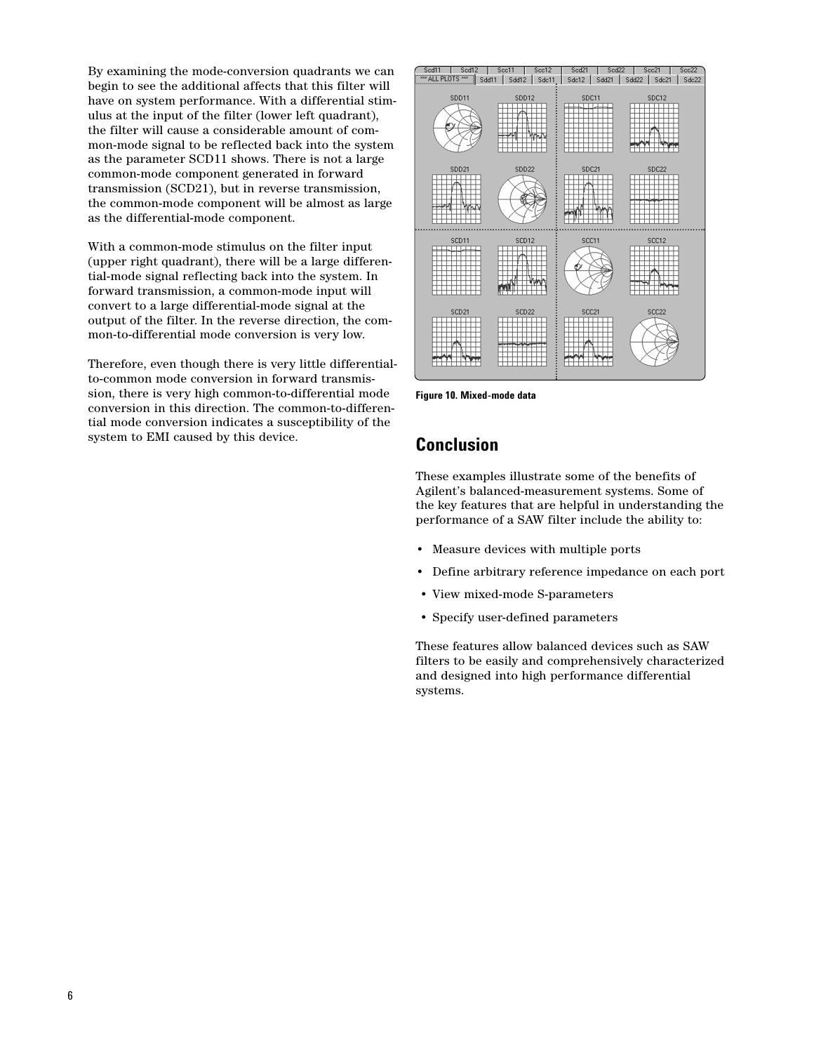By examining the mode-conversion quadrants we can begin to see the additional affects that this filter will have on system performance. With a differential stimulus at the input of the filter (lower left quadrant), the filter will cause a considerable amount of common-mode signal to be reflected back into the system as the parameter SCD11 shows. There is not a large common-mode component generated in forward transmission (SCD21), but in reverse transmission, the common-mode component will be almost as large as the differential-mode component.

With a common-mode stimulus on the filter input (upper right quadrant), there will be a large differential-mode signal reflecting back into the system. In forward transmission, a common-mode input will convert to a large differential-mode signal at the output of the filter. In the reverse direction, the common-to-differential mode conversion is very low.

Therefore, even though there is very little differentialto-common mode conversion in forward transmission, there is very high common-to-differential mode conversion in this direction. The common-to-differential mode conversion indicates a susceptibility of the system to EMI caused by this device.



**Figure 10. Mixed-mode data**

### **Conclusion**

These examples illustrate some of the benefits of Agilent's balanced-measurement systems. Some of the key features that are helpful in understanding the performance of a SAW filter include the ability to:

- Measure devices with multiple ports
- Define arbitrary reference impedance on each port
- View mixed-mode S-parameters
- Specify user-defined parameters

These features allow balanced devices such as SAW filters to be easily and comprehensively characterized and designed into high performance differential systems.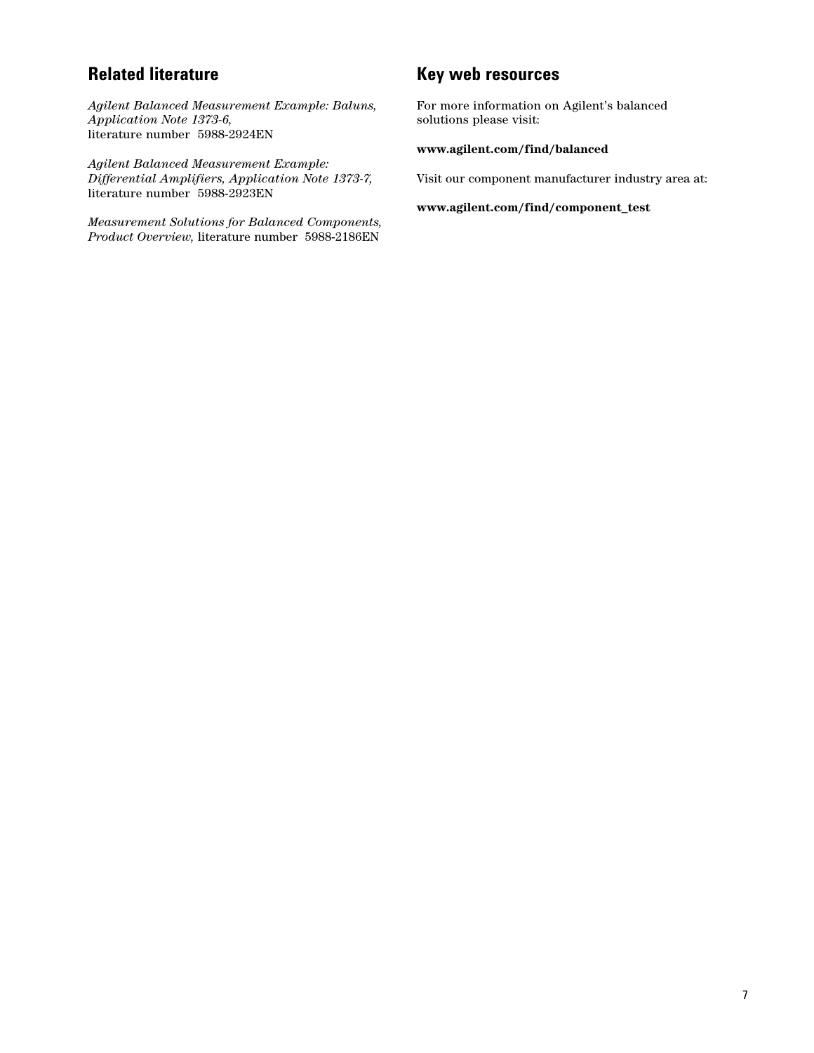### **Related literature**

*Agilent Balanced Measurement Example: Baluns, Application Note 1373-6,* literature number 5988-2924EN

*Agilent Balanced Measurement Example: Differential Amplifiers, Application Note 1373-7,* literature number 5988-2923EN

*Measurement Solutions for Balanced Components, Product Overview,* literature number 5988-2186EN

### **Key web resources**

For more information on Agilent's balanced solutions please visit:

#### **www.agilent.com/find/balanced**

Visit our component manufacturer industry area at:

#### **www.agilent.com/find/component\_test**